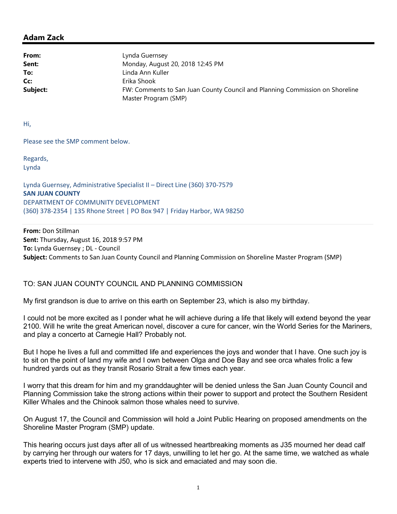## Adam Zack

| From:    | Lynda Guernsey                                                               |
|----------|------------------------------------------------------------------------------|
| Sent:    | Monday, August 20, 2018 12:45 PM                                             |
| To:      | Linda Ann Kuller                                                             |
| Cc:      | Erika Shook                                                                  |
| Subject: | FW: Comments to San Juan County Council and Planning Commission on Shoreline |
|          | Master Program (SMP)                                                         |

Hi,

Please see the SMP comment below.

Regards, Lynda

Lynda Guernsey, Administrative Specialist II – Direct Line (360) 370-7579 SAN JUAN COUNTY DEPARTMENT OF COMMUNITY DEVELOPMENT (360) 378-2354 | 135 Rhone Street | PO Box 947 | Friday Harbor, WA 98250

From: Don Stillman Sent: Thursday, August 16, 2018 9:57 PM To: Lynda Guernsey ; DL - Council Subject: Comments to San Juan County Council and Planning Commission on Shoreline Master Program (SMP)

## TO: SAN JUAN COUNTY COUNCIL AND PLANNING COMMISSION

My first grandson is due to arrive on this earth on September 23, which is also my birthday.

I could not be more excited as I ponder what he will achieve during a life that likely will extend beyond the year 2100. Will he write the great American novel, discover a cure for cancer, win the World Series for the Mariners, and play a concerto at Carnegie Hall? Probably not.

But I hope he lives a full and committed life and experiences the joys and wonder that I have. One such joy is to sit on the point of land my wife and I own between Olga and Doe Bay and see orca whales frolic a few hundred yards out as they transit Rosario Strait a few times each year.

I worry that this dream for him and my granddaughter will be denied unless the San Juan County Council and Planning Commission take the strong actions within their power to support and protect the Southern Resident Killer Whales and the Chinook salmon those whales need to survive.

On August 17, the Council and Commission will hold a Joint Public Hearing on proposed amendments on the Shoreline Master Program (SMP) update.

This hearing occurs just days after all of us witnessed heartbreaking moments as J35 mourned her dead calf by carrying her through our waters for 17 days, unwilling to let her go. At the same time, we watched as whale experts tried to intervene with J50, who is sick and emaciated and may soon die.